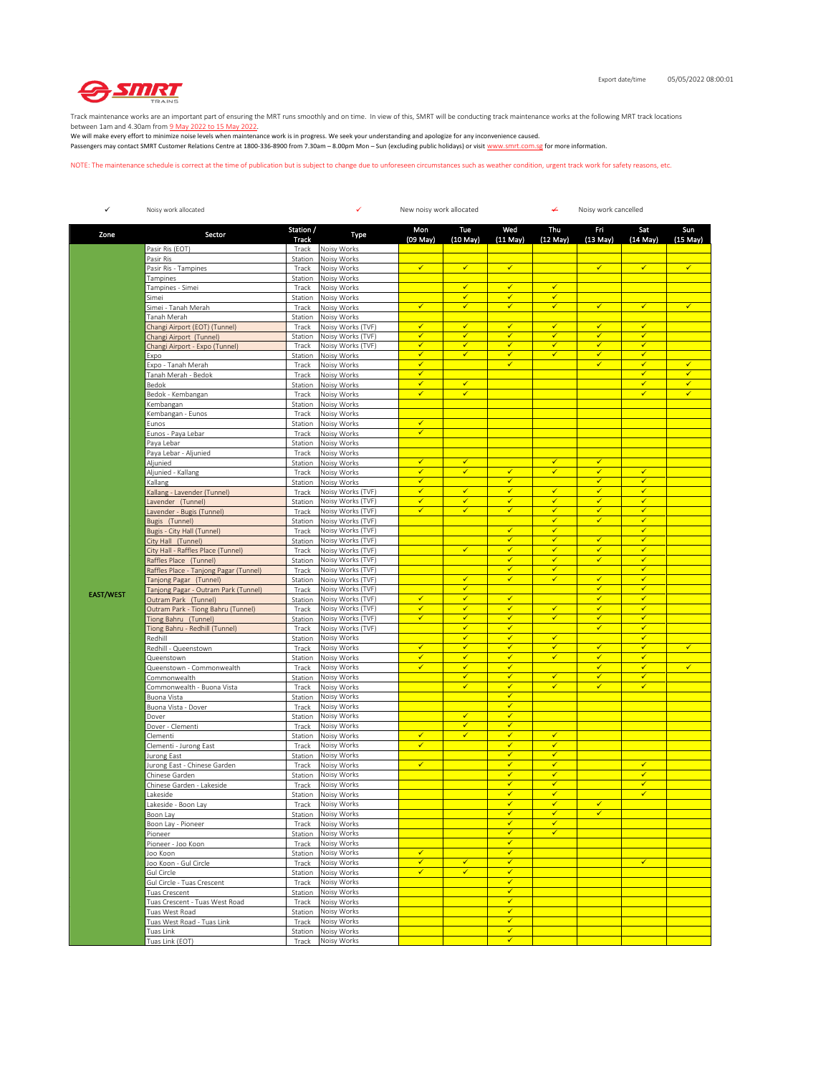

Track maintenance works are an important part of ensuring the MRT runs smoothly and on time. In view of this, SMRT will be conducting track maintenance works at the following MRT track locations

between 1am and 4.30am from <u>9 May 2022 to 15 May 2022</u>.<br>We will make every effort to minimize noise levels when maintenance work is in progress. We seek your understanding and apologize for any inconvenience caused. Passengers may contact SMRT Customer Relations Centre at 1800-336-8900 from 7.30am – 8.00pm Mon – Sun (excluding public holidays) or visit www.smrt.com.sg for more information.

NOTE: The maintenance schedule is correct at the time of publication but is subject to change due to unforeseen circumstances such as weather condition, urgent track work for safety reasons, etc.

| $\checkmark$     | Noisy work allocated                                       |                    | ✓<br>New noisy work allocated          |                              |                              |                                         | Noisy work cancelled<br>↞    |                              |                              |                      |  |
|------------------|------------------------------------------------------------|--------------------|----------------------------------------|------------------------------|------------------------------|-----------------------------------------|------------------------------|------------------------------|------------------------------|----------------------|--|
| Zone             | Sector                                                     | Station /<br>Track | Type                                   | Mon<br>(09 May)              | Tue<br>$(10$ May $)$         | Wed<br>$(11$ May $)$                    | Thu<br>$(12$ May)            | FΠ<br>$(13$ May $)$          | Sat<br>$(14$ May)            | Sun<br>$(15$ May $)$ |  |
|                  | Pasir Ris (EOT)                                            | Track              | Noisy Works                            |                              |                              |                                         |                              |                              |                              |                      |  |
|                  | Pasir Ris                                                  | Station            | Noisy Works                            |                              |                              |                                         |                              |                              |                              |                      |  |
|                  | Pasir Ris - Tampines                                       | Track              | Noisy Works                            | $\checkmark$                 | $\checkmark$                 | $\checkmark$                            |                              | $\checkmark$                 | $\checkmark$                 | $\checkmark$         |  |
|                  | Tampines<br>Tampines - Simei                               | Station<br>Track   | Noisy Works<br>Noisy Works             |                              | $\checkmark$                 | $\checkmark$                            | ✓                            |                              |                              |                      |  |
|                  | Simei                                                      | Station            | Noisy Works                            |                              | $\checkmark$                 | $\checkmark$                            | $\checkmark$                 |                              |                              |                      |  |
|                  | Simei - Tanah Merah                                        | Track              | Noisy Works                            | $\checkmark$                 | $\checkmark$                 | $\checkmark$                            | $\checkmark$                 | $\checkmark$                 | $\checkmark$                 | $\checkmark$         |  |
|                  | Tanah Merah                                                | Station            | Noisy Works                            |                              |                              |                                         |                              |                              |                              |                      |  |
|                  | Changi Airport (EOT) (Tunnel)                              | Track              | Noisy Works (TVF)                      | $\checkmark$<br>✓            | $\checkmark$<br>$\checkmark$ | $\checkmark$<br>✓                       | $\checkmark$<br>$\checkmark$ | $\checkmark$<br>✓            | $\checkmark$<br>$\checkmark$ |                      |  |
|                  | Changi Airport (Tunnel)<br>Changi Airport - Expo (Tunnel)  | Station<br>Track   | Noisy Works (TVF)<br>Noisy Works (TVF) | ✓                            | $\checkmark$                 | $\checkmark$                            | $\checkmark$                 | ✓                            | $\checkmark$                 |                      |  |
|                  | Expo                                                       | Station            | Noisy Works                            | $\checkmark$                 | $\checkmark$                 | $\checkmark$                            | $\checkmark$                 | $\checkmark$                 | $\checkmark$                 |                      |  |
|                  | Expo - Tanah Merah                                         | Track              | Noisy Works                            | ✓                            |                              | $\checkmark$                            |                              | ✓                            | $\checkmark$                 | √                    |  |
|                  | Tanah Merah - Bedok                                        | Track              | Noisy Works                            | $\checkmark$                 |                              |                                         |                              |                              | $\checkmark$                 | $\checkmark$         |  |
|                  | Bedok                                                      | Station            | Noisy Works                            | $\checkmark$                 | $\checkmark$                 |                                         |                              |                              | $\checkmark$                 | $\checkmark$         |  |
|                  | Bedok - Kembangan                                          | Track<br>Station   | Noisy Works<br>Noisy Works             | ✔                            | $\checkmark$                 |                                         |                              |                              | $\checkmark$                 | ✓                    |  |
|                  | Kembangan<br>Kembangan - Eunos                             | Track              | Noisy Works                            |                              |                              |                                         |                              |                              |                              |                      |  |
|                  | Eunos                                                      | Station            | Noisy Works                            | $\checkmark$                 |                              |                                         |                              |                              |                              |                      |  |
|                  | Eunos - Paya Lebar                                         | Track              | Noisy Works                            | $\checkmark$                 |                              |                                         |                              |                              |                              |                      |  |
|                  | Paya Lebar                                                 | Station            | Noisy Works                            |                              |                              |                                         |                              |                              |                              |                      |  |
|                  | Paya Lebar - Aljunied                                      | Track              | Noisy Works                            |                              |                              |                                         |                              |                              |                              |                      |  |
|                  | Aljunied                                                   | Station            | Noisy Works                            | $\checkmark$<br>$\checkmark$ | $\checkmark$<br>$\checkmark$ | $\checkmark$                            | $\checkmark$<br>$\checkmark$ | $\checkmark$<br>$\checkmark$ | $\checkmark$                 |                      |  |
|                  | Aljunied - Kallang<br>Kallang                              | Track<br>Station   | Noisy Works<br>Noisy Works             | $\checkmark$                 |                              | $\checkmark$                            |                              | ✓                            | $\checkmark$                 |                      |  |
|                  | Kallang - Lavender (Tunnel)                                | Track              | Noisy Works (TVF)                      | ✔                            | ✔                            | $\checkmark$                            | $\checkmark$                 | ✓                            | ✓                            |                      |  |
|                  | Lavender (Tunnel)                                          | Station            | Noisy Works (TVF)                      | $\checkmark$                 | $\checkmark$                 | $\checkmark$                            | $\checkmark$                 | $\checkmark$                 | $\checkmark$                 |                      |  |
|                  | Lavender - Bugis (Tunnel)                                  | Track              | Noisy Works (TVF)                      | $\checkmark$                 | $\checkmark$                 | $\checkmark$                            | ✓                            | ✓                            | ✓                            |                      |  |
|                  | Bugis (Tunnel)                                             | Station            | Noisy Works (TVF)                      |                              |                              |                                         | $\checkmark$                 | $\checkmark$                 | $\checkmark$                 |                      |  |
|                  | Bugis - City Hall (Tunnel)                                 | Track              | Noisy Works (TVF)<br>Noisy Works (TVF) |                              |                              | $\checkmark$<br>✔                       | $\checkmark$<br>$\checkmark$ | ✔                            | $\checkmark$<br>✓            |                      |  |
|                  | City Hall (Tunnel)<br>City Hall - Raffles Place (Tunnel)   | Station<br>Track   | Noisy Works (TVF)                      |                              | $\checkmark$                 | $\overline{\checkmark}$                 | $\checkmark$                 | $\checkmark$                 | $\checkmark$                 |                      |  |
|                  | Raffles Place (Tunnel)                                     | Station            | Noisy Works (TVF)                      |                              |                              | $\checkmark$                            | ✓                            | $\checkmark$                 | $\checkmark$                 |                      |  |
|                  | Raffles Place - Tanjong Pagar (Tunnel)                     | Track              | Noisy Works (TVF)                      |                              |                              | $\checkmark$                            | $\checkmark$                 |                              | $\checkmark$                 |                      |  |
|                  | Tanjong Pagar (Tunnel)                                     | Station            | Noisy Works (TVF)                      |                              | $\checkmark$                 | ✓                                       | $\checkmark$                 | $\checkmark$                 | $\checkmark$                 |                      |  |
| <b>EAST/WEST</b> | Tanjong Pagar - Outram Park (Tunnel)                       | Track              | Noisy Works (TVF)                      |                              | $\checkmark$                 | $\checkmark$                            |                              | ✔                            | $\checkmark$                 |                      |  |
|                  | Outram Park (Tunnel)<br>Outram Park - Tiong Bahru (Tunnel) | Station<br>Track   | Noisy Works (TVF)<br>Noisy Works (TVF) | $\checkmark$<br>$\checkmark$ | $\checkmark$<br>$\checkmark$ | $\checkmark$                            | $\checkmark$                 | $\checkmark$<br>$\checkmark$ | $\checkmark$<br>$\checkmark$ |                      |  |
|                  | Tiong Bahru (Tunnel)                                       | Station            | Noisy Works (TVF)                      | $\checkmark$                 | $\checkmark$                 | $\checkmark$                            | $\checkmark$                 | ✓                            | $\checkmark$                 |                      |  |
|                  | Tiong Bahru - Redhill (Tunnel)                             | Track              | Noisy Works (TVF)                      |                              | $\checkmark$                 | $\checkmark$                            |                              | ✓                            | $\checkmark$                 |                      |  |
|                  | Redhill                                                    | Station            | Noisy Works                            |                              | $\checkmark$                 | $\checkmark$                            | $\checkmark$                 |                              | $\checkmark$                 |                      |  |
|                  | Redhill - Queenstown                                       | Track              | Noisy Works                            | $\checkmark$                 | $\checkmark$                 | $\overline{\checkmark}$                 | $\checkmark$                 | $\overline{\checkmark}$      | $\checkmark$                 | $\checkmark$         |  |
|                  | Queenstown                                                 | Station            | Noisy Works                            | ✓<br>$\checkmark$            | $\checkmark$<br>$\checkmark$ | $\checkmark$<br>$\checkmark$            | $\checkmark$                 | ✓<br>$\checkmark$            | $\checkmark$<br>$\checkmark$ | $\checkmark$         |  |
|                  | Queenstown - Commonwealth<br>Commonwealth                  | Track<br>Station   | Noisy Works<br>Noisy Works             |                              | $\checkmark$                 | $\checkmark$                            | $\checkmark$                 | ✓                            | $\checkmark$                 |                      |  |
|                  | Commonwealth - Buona Vista                                 | Track              | Noisy Works                            |                              | $\checkmark$                 | $\checkmark$                            | $\checkmark$                 | ✓                            | $\checkmark$                 |                      |  |
|                  | Buona Vista                                                | Station            | Noisy Works                            |                              |                              | $\checkmark$                            |                              |                              |                              |                      |  |
|                  | Buona Vista - Dover                                        | Track              | Noisy Works                            |                              |                              | ✓                                       |                              |                              |                              |                      |  |
|                  | Dover                                                      | Station            | Noisy Works                            |                              | $\checkmark$                 | $\checkmark$<br>$\checkmark$            |                              |                              |                              |                      |  |
|                  | Dover - Clementi<br>Clementi                               | Track<br>Station   | Noisy Works<br>Noisy Works             | $\checkmark$                 | $\checkmark$<br>$\checkmark$ | $\checkmark$                            | $\checkmark$                 |                              |                              |                      |  |
|                  | Clementi - Jurong East                                     | Track              | Noisy Works                            | ✓                            |                              | $\checkmark$                            | $\checkmark$                 |                              |                              |                      |  |
|                  | Jurong East                                                | Station            | Noisy Works                            |                              |                              | $\checkmark$                            | $\checkmark$                 |                              |                              |                      |  |
|                  | Jurong East - Chinese Garden                               | Track              | Noisy Works                            | $\checkmark$                 |                              | $\checkmark$                            | $\checkmark$                 |                              | $\checkmark$                 |                      |  |
|                  | Chinese Garden                                             | Station            | Noisy Works                            |                              |                              | $\checkmark$                            | $\checkmark$                 |                              | $\checkmark$                 |                      |  |
|                  | Chinese Garden - Lakeside<br>Lakeside                      | Track<br>Station   | Noisy Works<br>Noisy Works             |                              |                              | $\checkmark$<br>$\overline{\checkmark}$ | ✓<br>$\checkmark$            |                              | ✓<br>$\checkmark$            |                      |  |
|                  | Lakeside - Boon Lay                                        | Track              | Noisy Works                            |                              |                              | ✓                                       | $\checkmark$                 | $\checkmark$                 |                              |                      |  |
|                  | Boon Lay                                                   | Station            | Noisy Works                            |                              |                              |                                         |                              |                              |                              |                      |  |
|                  | Boon Lay - Pioneer                                         | Track              | Noisy Works                            |                              |                              | $\checkmark$                            | $\checkmark$                 |                              |                              |                      |  |
|                  | Pioneer                                                    | Station            | Noisy Works                            |                              |                              | $\checkmark$                            | $\checkmark$                 |                              |                              |                      |  |
|                  | Pioneer - Joo Koon                                         | Track              | Noisy Works                            |                              |                              | $\overline{\checkmark}$                 |                              |                              |                              |                      |  |
|                  | Joo Koon                                                   | Station            | Noisy Works                            | ✓<br>$\checkmark$            | $\checkmark$                 | $\checkmark$<br>$\checkmark$            |                              |                              | $\checkmark$                 |                      |  |
|                  | Joo Koon - Gul Circle<br>Gul Circle                        | Track<br>Station   | Noisy Works<br>Noisy Works             | $\checkmark$                 | $\checkmark$                 | $\checkmark$                            |                              |                              |                              |                      |  |
|                  | Gul Circle - Tuas Crescent                                 | Track              | Noisy Works                            |                              |                              | $\checkmark$                            |                              |                              |                              |                      |  |
|                  | Tuas Crescent                                              | Station            | Noisy Works                            |                              |                              | $\checkmark$                            |                              |                              |                              |                      |  |
|                  | Tuas Crescent - Tuas West Road                             | Track              | Noisy Works                            |                              |                              | $\checkmark$                            |                              |                              |                              |                      |  |
|                  | Tuas West Road                                             | Station            | Noisy Works                            |                              |                              | $\checkmark$                            |                              |                              |                              |                      |  |
|                  | Tuas West Road - Tuas Link<br>Tuas Link                    | Track              | Noisy Works<br>Noisy Works             |                              |                              | $\checkmark$<br>$\checkmark$            |                              |                              |                              |                      |  |
|                  | Tuas Link (EOT)                                            | Station<br>Track   | Noisy Works                            |                              |                              | $\checkmark$                            |                              |                              |                              |                      |  |
|                  |                                                            |                    |                                        |                              |                              |                                         |                              |                              |                              |                      |  |